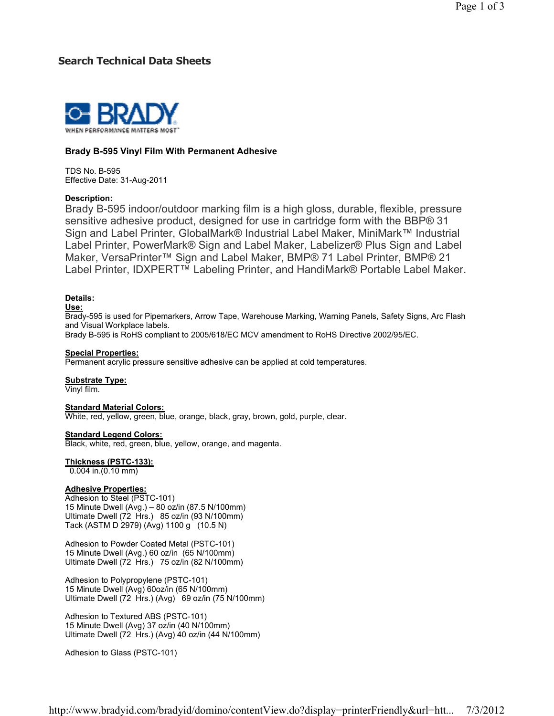# Search Technical Data Sheets



## Brady B-595 Vinyl Film With Permanent Adhesive

TDS No. B-595 Effective Date: 31-Aug-2011

### Description:

Brady B-595 indoor/outdoor marking film is a high gloss, durable, flexible, pressure sensitive adhesive product, designed for use in cartridge form with the BBP® 31 Sign and Label Printer, GlobalMark® Industrial Label Maker, MiniMark™ Industrial Label Printer, PowerMark® Sign and Label Maker, Labelizer® Plus Sign and Label Maker, VersaPrinter™ Sign and Label Maker, BMP® 71 Label Printer, BMP® 21 Label Printer, IDXPERT™ Labeling Printer, and HandiMark® Portable Label Maker.

## Details:

#### Use:

Brady-595 is used for Pipemarkers, Arrow Tape, Warehouse Marking, Warning Panels, Safety Signs, Arc Flash and Visual Workplace labels.

Brady B-595 is RoHS compliant to 2005/618/EC MCV amendment to RoHS Directive 2002/95/EC.

#### Special Properties:

Permanent acrylic pressure sensitive adhesive can be applied at cold temperatures.

#### Substrate Type:

Vinyl film.

#### Standard Material Colors:

White, red, yellow, green, blue, orange, black, gray, brown, gold, purple, clear.

#### **Standard Legend Colors:**

Black, white, red, green, blue, yellow, orange, and magenta.

### Thickness (PSTC-133):

0.004 in.(0.10 mm)

### Adhesive Properties:

Adhesion to Steel (PSTC-101) 15 Minute Dwell (Avg.) – 80 oz/in (87.5 N/100mm) Ultimate Dwell (72 Hrs.) 85 oz/in (93 N/100mm) Tack (ASTM D 2979) (Avg) 1100 g (10.5 N)

Adhesion to Powder Coated Metal (PSTC-101) 15 Minute Dwell (Avg.) 60 oz/in (65 N/100mm) Ultimate Dwell (72 Hrs.) 75 oz/in (82 N/100mm)

Adhesion to Polypropylene (PSTC-101) 15 Minute Dwell (Avg) 60oz/in (65 N/100mm) Ultimate Dwell (72 Hrs.) (Avg) 69 oz/in (75 N/100mm)

Adhesion to Textured ABS (PSTC-101) 15 Minute Dwell (Avg) 37 oz/in (40 N/100mm) Ultimate Dwell (72 Hrs.) (Avg) 40 oz/in (44 N/100mm)

Adhesion to Glass (PSTC-101)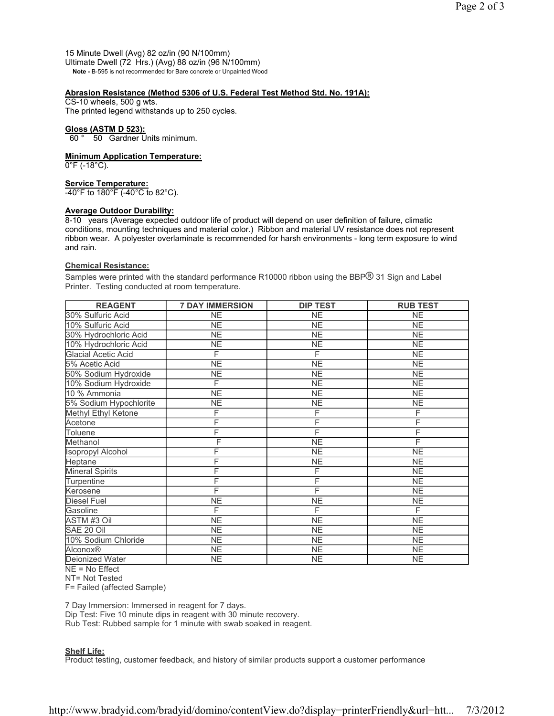15 Minute Dwell (Avg) 82 oz/in (90 N/100mm) Ultimate Dwell (72 Hrs.) (Avg) 88 oz/in (96 N/100mm) Note - B-595 is not recommended for Bare concrete or Unpainted Wood

## Abrasion Resistance (Method 5306 of U.S. Federal Test Method Std. No. 191A):

CS-10 wheels, 500 g wts. The printed legend withstands up to 250 cycles.

## Gloss (ASTM D 523):

60 ° 50 Gardner Units minimum.

### Minimum Application Temperature:

0°F (-18°C).

## Service Temperature:

 $-40^{\circ}$ F to 180 $^{\circ}$ F (-40 $^{\circ}$ C to 82 $^{\circ}$ C).

## Average Outdoor Durability:

8-10 years (Average expected outdoor life of product will depend on user definition of failure, climatic conditions, mounting techniques and material color.) Ribbon and material UV resistance does not represent ribbon wear. A polyester overlaminate is recommended for harsh environments - long term exposure to wind and rain.

### Chemical Resistance:

Samples were printed with the standard performance R10000 ribbon using the BBP® 31 Sign and Label Printer. Testing conducted at room temperature.

| <b>REAGENT</b>             | <b>7 DAY IMMERSION</b> | <b>DIP TEST</b>        | <b>RUB TEST</b> |
|----------------------------|------------------------|------------------------|-----------------|
| 30% Sulfuric Acid          | <b>NE</b>              | <b>NE</b>              | <b>NE</b>       |
| 10% Sulfuric Acid          | NE                     | <b>NE</b>              | <b>NE</b>       |
| 30% Hydrochloric Acid      | <b>NE</b>              | NE                     | NE              |
| 10% Hydrochloric Acid      | <b>NE</b>              | <b>NE</b>              | <b>NE</b>       |
| <b>Glacial Acetic Acid</b> | F                      | F                      | <b>NE</b>       |
| 5% Acetic Acid             | <b>NE</b>              | <b>NE</b>              | <b>NE</b>       |
| 50% Sodium Hydroxide       | <b>NE</b>              | <b>NE</b>              | <b>NE</b>       |
| 10% Sodium Hydroxide       | F                      | NE                     | NE              |
| 10 % Ammonia               | <b>NE</b>              | <b>NE</b>              | <b>NE</b>       |
| 5% Sodium Hypochlorite     | <b>NE</b>              | <b>NE</b>              | <b>NE</b>       |
| Methyl Ethyl Ketone        | F                      | F                      | F               |
| Acetone                    | F                      | F                      | F               |
| Toluene                    | F                      | F                      | F               |
| Methanol                   | F                      | <b>NE</b>              | F               |
| Isopropyl Alcohol          | F                      | <b>NE</b>              | <b>NE</b>       |
| Heptane                    | F                      | <b>NE</b>              | <b>NE</b>       |
| <b>Mineral Spirits</b>     | F                      | F                      | <b>NE</b>       |
| Turpentine                 | F                      | F                      | <b>NE</b>       |
| Kerosene                   | F                      | F                      | <b>NE</b>       |
| <b>Diesel Fuel</b>         | <b>NE</b>              | <b>NE</b>              | ΝE              |
| Gasoline                   | F                      | F                      | F               |
| <b>ASTM #3 Oil</b>         | <b>NE</b>              | <b>NE</b>              | <b>NE</b>       |
| SAE 20 Oil                 | <b>NE</b>              | <b>NE</b>              | <b>NE</b>       |
| 10% Sodium Chloride        | <b>NE</b>              | <b>NE</b>              | <b>NE</b>       |
| Alconox®                   | <b>NE</b>              | <b>NE</b>              | NE.             |
| Deionized Water            | <b>NE</b>              | $\overline{\text{NE}}$ | <b>NE</b>       |

NE = No Effect

NT= Not Tested

F= Failed (affected Sample)

7 Day Immersion: Immersed in reagent for 7 days.

Dip Test: Five 10 minute dips in reagent with 30 minute recovery.

Rub Test: Rubbed sample for 1 minute with swab soaked in reagent.

### Shelf Life:

Product testing, customer feedback, and history of similar products support a customer performance